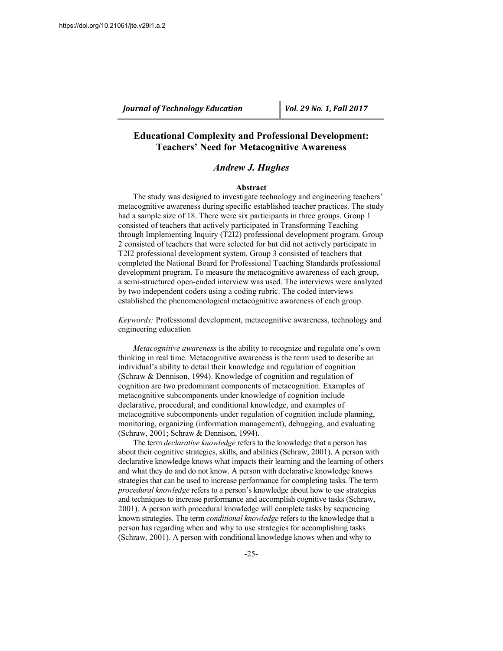# **Educational Complexity and Professional Development: Teachers' Need for Metacognitive Awareness**

## *Andrew J. Hughes*

#### **Abstract**

The study was designed to investigate technology and engineering teachers' metacognitive awareness during specific established teacher practices. The study had a sample size of 18. There were six participants in three groups. Group 1 consisted of teachers that actively participated in Transforming Teaching through Implementing Inquiry (T2I2) professional development program. Group 2 consisted of teachers that were selected for but did not actively participate in T2I2 professional development system. Group 3 consisted of teachers that completed the National Board for Professional Teaching Standards professional development program. To measure the metacognitive awareness of each group, a semi-structured open-ended interview was used. The interviews were analyzed by two independent coders using a coding rubric. The coded interviews established the phenomenological metacognitive awareness of each group.

*Keywords:* Professional development, metacognitive awareness, technology and engineering education

*Metacognitive awareness* is the ability to recognize and regulate one's own thinking in real time. Metacognitive awareness is the term used to describe an individual's ability to detail their knowledge and regulation of cognition (Schraw & Dennison, 1994). Knowledge of cognition and regulation of cognition are two predominant components of metacognition. Examples of metacognitive subcomponents under knowledge of cognition include declarative, procedural, and conditional knowledge, and examples of metacognitive subcomponents under regulation of cognition include planning, monitoring, organizing (information management), debugging, and evaluating (Schraw, 2001; Schraw & Dennison, 1994).

The term *declarative knowledge* refers to the knowledge that a person has about their cognitive strategies, skills, and abilities (Schraw, 2001). A person with declarative knowledge knows what impacts their learning and the learning of others and what they do and do not know. A person with declarative knowledge knows strategies that can be used to increase performance for completing tasks. The term *procedural knowledge* refers to a person's knowledge about how to use strategies and techniques to increase performance and accomplish cognitive tasks (Schraw, 2001). A person with procedural knowledge will complete tasks by sequencing known strategies. The term *conditional knowledge* refers to the knowledge that a person has regarding when and why to use strategies for accomplishing tasks (Schraw, 2001). A person with conditional knowledge knows when and why to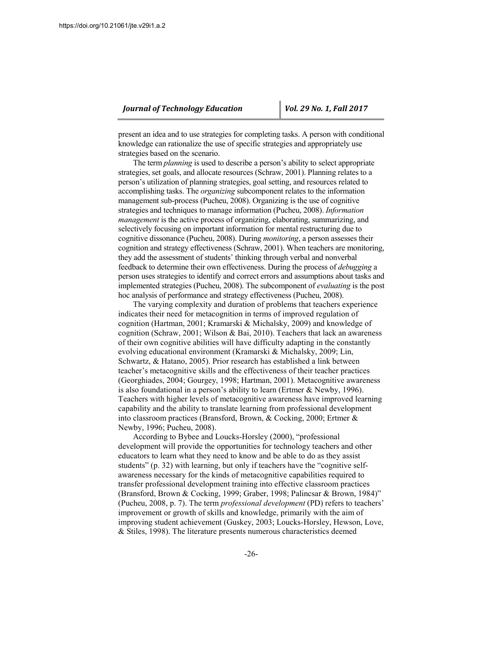present an idea and to use strategies for completing tasks. A person with conditional knowledge can rationalize the use of specific strategies and appropriately use strategies based on the scenario.

The term *planning* is used to describe a person's ability to select appropriate strategies, set goals, and allocate resources (Schraw, 2001). Planning relates to a person's utilization of planning strategies, goal setting, and resources related to accomplishing tasks. The *organizing* subcomponent relates to the information management sub-process (Pucheu, 2008). Organizing is the use of cognitive strategies and techniques to manage information (Pucheu, 2008). *Information management* is the active process of organizing, elaborating, summarizing, and selectively focusing on important information for mental restructuring due to cognitive dissonance (Pucheu, 2008). During *monitoring*, a person assesses their cognition and strategy effectiveness (Schraw, 2001). When teachers are monitoring, they add the assessment of students' thinking through verbal and nonverbal feedback to determine their own effectiveness. During the process of *debugging* a person uses strategies to identify and correct errors and assumptions about tasks and implemented strategies (Pucheu, 2008). The subcomponent of *evaluating* is the post hoc analysis of performance and strategy effectiveness (Pucheu, 2008).

The varying complexity and duration of problems that teachers experience indicates their need for metacognition in terms of improved regulation of cognition (Hartman, 2001; Kramarski & Michalsky, 2009) and knowledge of cognition (Schraw, 2001; Wilson & Bai, 2010). Teachers that lack an awareness of their own cognitive abilities will have difficulty adapting in the constantly evolving educational environment (Kramarski & Michalsky, 2009; Lin, Schwartz, & Hatano, 2005). Prior research has established a link between teacher's metacognitive skills and the effectiveness of their teacher practices (Georghiades, 2004; Gourgey, 1998; Hartman, 2001). Metacognitive awareness is also foundational in a person's ability to learn (Ertmer & Newby, 1996). Teachers with higher levels of metacognitive awareness have improved learning capability and the ability to translate learning from professional development into classroom practices (Bransford, Brown, & Cocking, 2000; Ertmer & Newby, 1996; Pucheu, 2008).

According to Bybee and Loucks-Horsley (2000), "professional development will provide the opportunities for technology teachers and other educators to learn what they need to know and be able to do as they assist students" (p. 32) with learning, but only if teachers have the "cognitive selfawareness necessary for the kinds of metacognitive capabilities required to transfer professional development training into effective classroom practices (Bransford, Brown & Cocking, 1999; Graber, 1998; Palincsar & Brown, 1984)" (Pucheu, 2008, p. 7). The term *professional development* (PD) refers to teachers' improvement or growth of skills and knowledge, primarily with the aim of improving student achievement (Guskey, 2003; Loucks-Horsley, Hewson, Love, & Stiles, 1998). The literature presents numerous characteristics deemed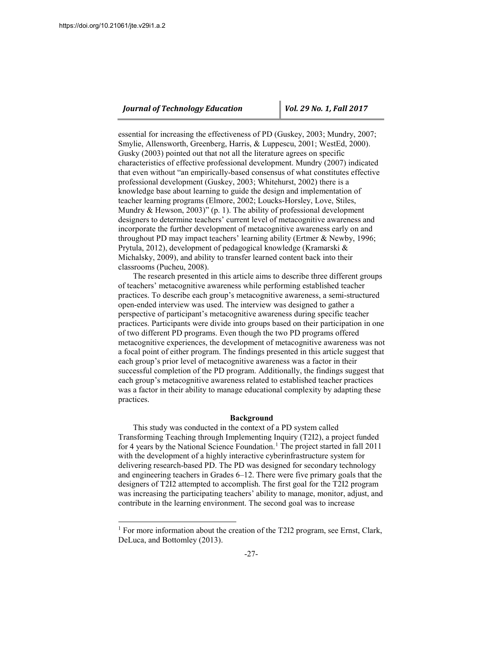$\overline{a}$ 

## *Journal of Technology Education Vol. 29 No. 1, Fall 2017*

essential for increasing the effectiveness of PD (Guskey, 2003; Mundry, 2007; Smylie, Allensworth, Greenberg, Harris, & Luppescu, 2001; WestEd, 2000). Gusky (2003) pointed out that not all the literature agrees on specific characteristics of effective professional development. Mundry (2007) indicated that even without "an empirically-based consensus of what constitutes effective professional development (Guskey, 2003; Whitehurst, 2002) there is a knowledge base about learning to guide the design and implementation of teacher learning programs (Elmore, 2002; Loucks-Horsley, Love, Stiles, Mundry & Hewson, 2003)" (p. 1). The ability of professional development designers to determine teachers' current level of metacognitive awareness and incorporate the further development of metacognitive awareness early on and throughout PD may impact teachers' learning ability (Ertmer & Newby, 1996; Prytula, 2012), development of pedagogical knowledge (Kramarski & Michalsky, 2009), and ability to transfer learned content back into their classrooms (Pucheu, 2008).

The research presented in this article aims to describe three different groups of teachers' metacognitive awareness while performing established teacher practices. To describe each group's metacognitive awareness, a semi-structured open-ended interview was used. The interview was designed to gather a perspective of participant's metacognitive awareness during specific teacher practices. Participants were divide into groups based on their participation in one of two different PD programs. Even though the two PD programs offered metacognitive experiences, the development of metacognitive awareness was not a focal point of either program. The findings presented in this article suggest that each group's prior level of metacognitive awareness was a factor in their successful completion of the PD program. Additionally, the findings suggest that each group's metacognitive awareness related to established teacher practices was a factor in their ability to manage educational complexity by adapting these practices.

#### **Background**

This study was conducted in the context of a PD system called Transforming Teaching through Implementing Inquiry (T2I2), a project funded for 4 years by the National Science Foundation.<sup>[1](#page-2-0)</sup> The project started in fall  $2011$ with the development of a highly interactive cyberinfrastructure system for delivering research-based PD. The PD was designed for secondary technology and engineering teachers in Grades 6–12. There were five primary goals that the designers of T2I2 attempted to accomplish. The first goal for the T2I2 program was increasing the participating teachers' ability to manage, monitor, adjust, and contribute in the learning environment. The second goal was to increase

<span id="page-2-0"></span><sup>&</sup>lt;sup>1</sup> For more information about the creation of the T2I2 program, see Ernst, Clark, DeLuca, and Bottomley (2013).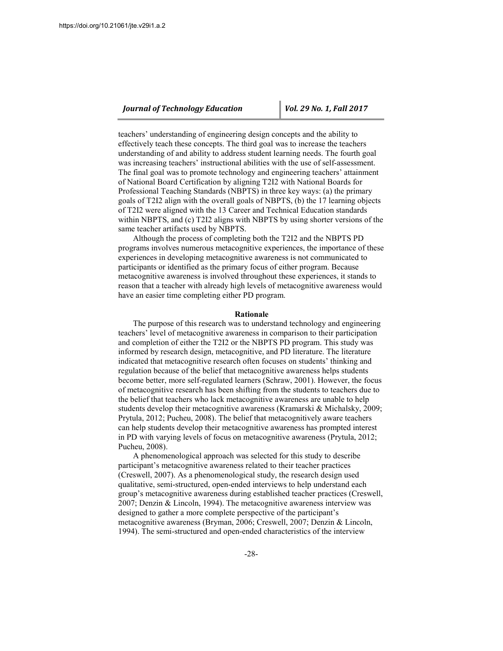teachers' understanding of engineering design concepts and the ability to effectively teach these concepts. The third goal was to increase the teachers understanding of and ability to address student learning needs. The fourth goal was increasing teachers' instructional abilities with the use of self-assessment. The final goal was to promote technology and engineering teachers' attainment of National Board Certification by aligning T2I2 with National Boards for Professional Teaching Standards (NBPTS) in three key ways: (a) the primary goals of T2I2 align with the overall goals of NBPTS, (b) the 17 learning objects of T2I2 were aligned with the 13 Career and Technical Education standards within NBPTS, and (c) T2I2 aligns with NBPTS by using shorter versions of the same teacher artifacts used by NBPTS.

Although the process of completing both the T2I2 and the NBPTS PD programs involves numerous metacognitive experiences, the importance of these experiences in developing metacognitive awareness is not communicated to participants or identified as the primary focus of either program. Because metacognitive awareness is involved throughout these experiences, it stands to reason that a teacher with already high levels of metacognitive awareness would have an easier time completing either PD program.

#### **Rationale**

The purpose of this research was to understand technology and engineering teachers' level of metacognitive awareness in comparison to their participation and completion of either the T2I2 or the NBPTS PD program. This study was informed by research design, metacognitive, and PD literature. The literature indicated that metacognitive research often focuses on students' thinking and regulation because of the belief that metacognitive awareness helps students become better, more self-regulated learners (Schraw, 2001). However, the focus of metacognitive research has been shifting from the students to teachers due to the belief that teachers who lack metacognitive awareness are unable to help students develop their metacognitive awareness (Kramarski & Michalsky, 2009; Prytula, 2012; Pucheu, 2008). The belief that metacognitively aware teachers can help students develop their metacognitive awareness has prompted interest in PD with varying levels of focus on metacognitive awareness (Prytula, 2012; Pucheu, 2008).

A phenomenological approach was selected for this study to describe participant's metacognitive awareness related to their teacher practices (Creswell, 2007). As a phenomenological study, the research design used qualitative, semi-structured, open-ended interviews to help understand each group's metacognitive awareness during established teacher practices (Creswell, 2007; Denzin & Lincoln, 1994). The metacognitive awareness interview was designed to gather a more complete perspective of the participant's metacognitive awareness (Bryman, 2006; Creswell, 2007; Denzin & Lincoln, 1994). The semi-structured and open-ended characteristics of the interview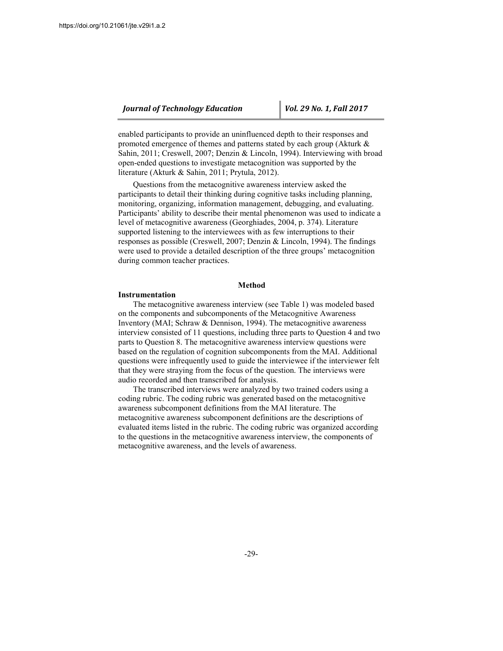enabled participants to provide an uninfluenced depth to their responses and promoted emergence of themes and patterns stated by each group (Akturk & Sahin, 2011; Creswell, 2007; Denzin & Lincoln, 1994). Interviewing with broad open-ended questions to investigate metacognition was supported by the literature (Akturk & Sahin, 2011; Prytula, 2012).

Questions from the metacognitive awareness interview asked the participants to detail their thinking during cognitive tasks including planning, monitoring, organizing, information management, debugging, and evaluating. Participants' ability to describe their mental phenomenon was used to indicate a level of metacognitive awareness (Georghiades, 2004, p. 374). Literature supported listening to the interviewees with as few interruptions to their responses as possible (Creswell, 2007; Denzin & Lincoln, 1994). The findings were used to provide a detailed description of the three groups' metacognition during common teacher practices.

## **Method**

#### **Instrumentation**

The metacognitive awareness interview (see Table 1) was modeled based on the components and subcomponents of the Metacognitive Awareness Inventory (MAI; Schraw & Dennison, 1994). The metacognitive awareness interview consisted of 11 questions, including three parts to Question 4 and two parts to Question 8. The metacognitive awareness interview questions were based on the regulation of cognition subcomponents from the MAI. Additional questions were infrequently used to guide the interviewee if the interviewer felt that they were straying from the focus of the question. The interviews were audio recorded and then transcribed for analysis.

The transcribed interviews were analyzed by two trained coders using a coding rubric. The coding rubric was generated based on the metacognitive awareness subcomponent definitions from the MAI literature. The metacognitive awareness subcomponent definitions are the descriptions of evaluated items listed in the rubric. The coding rubric was organized according to the questions in the metacognitive awareness interview, the components of metacognitive awareness, and the levels of awareness.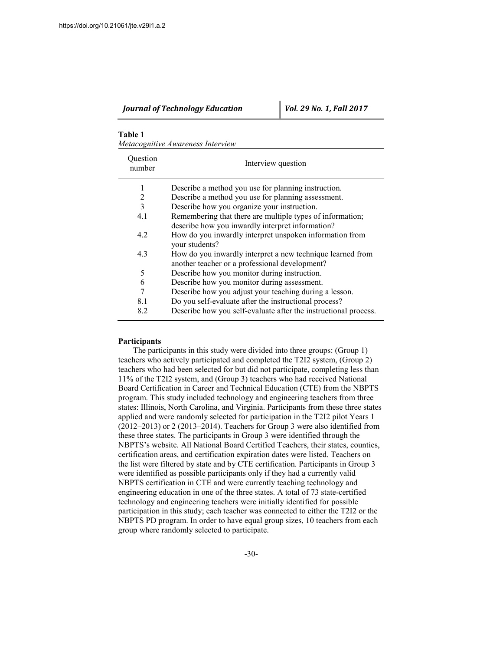## **Table 1**

*Metacognitive Awareness Interview*

| Ouestion<br>number | Interview question                                                                                           |
|--------------------|--------------------------------------------------------------------------------------------------------------|
| 1                  | Describe a method you use for planning instruction.                                                          |
| $\overline{2}$     | Describe a method you use for planning assessment.                                                           |
| 3                  | Describe how you organize your instruction.                                                                  |
| 4.1                | Remembering that there are multiple types of information;                                                    |
|                    | describe how you inwardly interpret information?                                                             |
| 4.2                | How do you inwardly interpret unspoken information from<br>your students?                                    |
| 4.3                | How do you inwardly interpret a new technique learned from<br>another teacher or a professional development? |
| 5                  | Describe how you monitor during instruction.                                                                 |
| 6                  | Describe how you monitor during assessment.                                                                  |
| 7                  | Describe how you adjust your teaching during a lesson.                                                       |
| 81                 | Do you self-evaluate after the instructional process?                                                        |
| 82                 | Describe how you self-evaluate after the instructional process.                                              |

#### **Participants**

The participants in this study were divided into three groups: (Group 1) teachers who actively participated and completed the T2I2 system, (Group 2) teachers who had been selected for but did not participate, completing less than 11% of the T2I2 system, and (Group 3) teachers who had received National Board Certification in Career and Technical Education (CTE) from the NBPTS program. This study included technology and engineering teachers from three states: Illinois, North Carolina, and Virginia. Participants from these three states applied and were randomly selected for participation in the T2I2 pilot Years 1 (2012–2013) or 2 (2013–2014). Teachers for Group 3 were also identified from these three states. The participants in Group 3 were identified through the NBPTS's website. All National Board Certified Teachers, their states, counties, certification areas, and certification expiration dates were listed. Teachers on the list were filtered by state and by CTE certification. Participants in Group 3 were identified as possible participants only if they had a currently valid NBPTS certification in CTE and were currently teaching technology and engineering education in one of the three states. A total of 73 state-certified technology and engineering teachers were initially identified for possible participation in this study; each teacher was connected to either the T2I2 or the NBPTS PD program. In order to have equal group sizes, 10 teachers from each group where randomly selected to participate.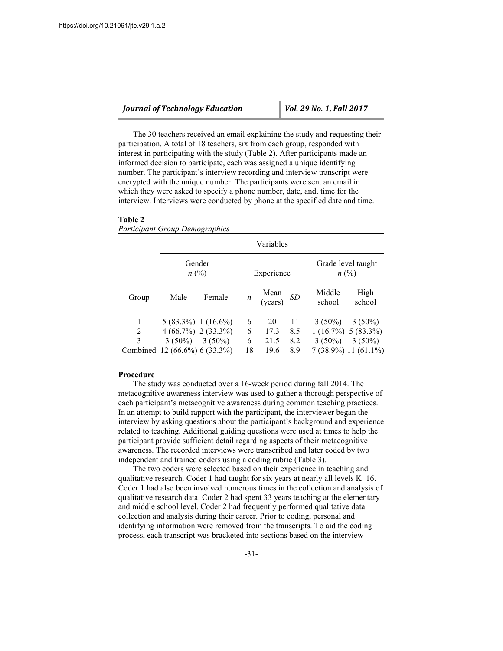| <b>Journal of Technology Education</b> |  |
|----------------------------------------|--|
|----------------------------------------|--|

The 30 teachers received an email explaining the study and requesting their participation. A total of 18 teachers, six from each group, responded with interest in participating with the study (Table 2). After participants made an informed decision to participate, each was assigned a unique identifying number. The participant's interview recording and interview transcript were encrypted with the unique number. The participants were sent an email in which they were asked to specify a phone number, date, and, time for the interview. Interviews were conducted by phone at the specified date and time.

#### **Table 2**

*Participant Group Demographics*

|        |                                                                                                        | Variables |                   |                            |                         |                                 |                                                                         |  |  |
|--------|--------------------------------------------------------------------------------------------------------|-----------|-------------------|----------------------------|-------------------------|---------------------------------|-------------------------------------------------------------------------|--|--|
|        | Gender<br>$n\ (\%)$                                                                                    |           | Experience        |                            |                         | Grade level taught<br>$n\ (\%)$ |                                                                         |  |  |
| Group  | Male                                                                                                   | Female    | n                 | Mean<br>(years)            | <i>SD</i>               | Middle<br>school                | High<br>school                                                          |  |  |
| 2<br>3 | $5(83.3\%)$ 1 (16.6%)<br>$4(66.7\%)$ 2 (33.3%)<br>$3(50\%)$ $3(50\%)$<br>Combined 12 (66.6%) 6 (33.3%) |           | 6<br>6<br>6<br>18 | 20<br>17.3<br>21.5<br>19.6 | 11<br>8.5<br>8.2<br>8.9 | $3(50\%)$<br>$3(50\%)$          | $3(50\%)$<br>$1(16.7\%)$ 5 (83.3%)<br>$3(50\%)$<br>7 (38.9%) 11 (61.1%) |  |  |

#### **Procedure**

The study was conducted over a 16-week period during fall 2014. The metacognitive awareness interview was used to gather a thorough perspective of each participant's metacognitive awareness during common teaching practices. In an attempt to build rapport with the participant, the interviewer began the interview by asking questions about the participant's background and experience related to teaching. Additional guiding questions were used at times to help the participant provide sufficient detail regarding aspects of their metacognitive awareness. The recorded interviews were transcribed and later coded by two independent and trained coders using a coding rubric (Table 3).

The two coders were selected based on their experience in teaching and qualitative research. Coder 1 had taught for six years at nearly all levels K–16. Coder 1 had also been involved numerous times in the collection and analysis of qualitative research data. Coder 2 had spent 33 years teaching at the elementary and middle school level. Coder 2 had frequently performed qualitative data collection and analysis during their career. Prior to coding, personal and identifying information were removed from the transcripts. To aid the coding process, each transcript was bracketed into sections based on the interview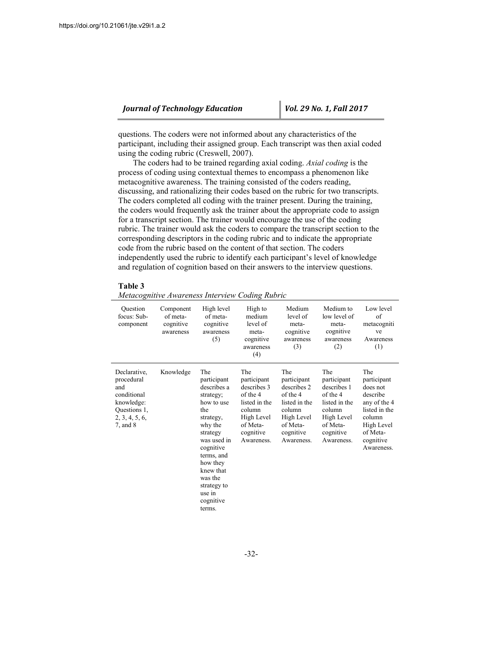questions. The coders were not informed about any characteristics of the participant, including their assigned group. Each transcript was then axial coded using the coding rubric (Creswell, 2007).

The coders had to be trained regarding axial coding. *Axial coding* is the process of coding using contextual themes to encompass a phenomenon like metacognitive awareness. The training consisted of the coders reading, discussing, and rationalizing their codes based on the rubric for two transcripts. The coders completed all coding with the trainer present. During the training, the coders would frequently ask the trainer about the appropriate code to assign for a transcript section. The trainer would encourage the use of the coding rubric. The trainer would ask the coders to compare the transcript section to the corresponding descriptors in the coding rubric and to indicate the appropriate code from the rubric based on the content of that section. The coders independently used the rubric to identify each participant's level of knowledge and regulation of cognition based on their answers to the interview questions.

**Table 3**

| Metacognitive Awareness Interview Coding Rubric |  |  |
|-------------------------------------------------|--|--|
|                                                 |  |  |

| Ouestion<br>focus: Sub-<br>component                                                                              | Component<br>of meta-<br>cognitive<br>awareness | High level<br>of meta-<br>cognitive<br>awareness<br>(5)                                                                                                                                                                               | High to<br>medium<br>level of<br>meta-<br>cognitive<br>awareness<br>(4)                                                       | Medium<br>level of<br>meta-<br>cognitive<br>awareness<br>(3)                                                                  | Medium to<br>low level of<br>meta-<br>cognitive<br>awareness<br>(2)                                                           | Low level<br>of<br>metacogniti<br>ve<br>Awareness<br>(1)                                                                                   |
|-------------------------------------------------------------------------------------------------------------------|-------------------------------------------------|---------------------------------------------------------------------------------------------------------------------------------------------------------------------------------------------------------------------------------------|-------------------------------------------------------------------------------------------------------------------------------|-------------------------------------------------------------------------------------------------------------------------------|-------------------------------------------------------------------------------------------------------------------------------|--------------------------------------------------------------------------------------------------------------------------------------------|
| Declarative,<br>procedural<br>and<br>conditional<br>knowledge:<br>Questions 1,<br>2, 3, 4, 5, 6,<br>$7$ , and $8$ | Knowledge                                       | The<br>participant<br>describes a<br>strategy;<br>how to use<br>the<br>strategy,<br>why the<br>strategy<br>was used in<br>cognitive<br>terms, and<br>how they<br>knew that<br>was the<br>strategy to<br>use in<br>cognitive<br>terms. | The<br>participant<br>describes 3<br>of the 4<br>listed in the<br>column<br>High Level<br>of Meta-<br>cognitive<br>Awareness. | The<br>participant<br>describes 2<br>of the 4<br>listed in the<br>column<br>High Level<br>of Meta-<br>cognitive<br>Awareness. | The<br>participant<br>describes 1<br>of the 4<br>listed in the<br>column<br>High Level<br>of Meta-<br>cognitive<br>Awareness. | The<br>participant<br>does not<br>describe<br>any of the 4<br>listed in the<br>column<br>High Level<br>of Meta-<br>cognitive<br>Awareness. |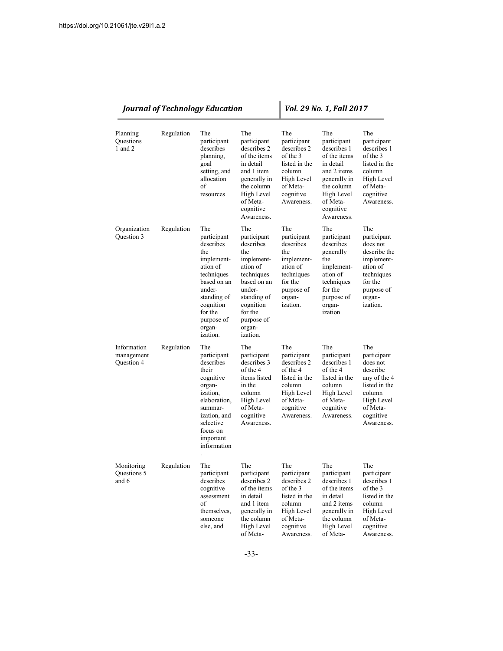|                                         |            | <b>Journal of Technology Education</b>                                                                                                                                             |                                                                                                                                                                                    |                                                                                                                               | Vol. 29 No. 1, Fall 2017                                                                                                                                         |                                                                                                                                            |  |  |
|-----------------------------------------|------------|------------------------------------------------------------------------------------------------------------------------------------------------------------------------------------|------------------------------------------------------------------------------------------------------------------------------------------------------------------------------------|-------------------------------------------------------------------------------------------------------------------------------|------------------------------------------------------------------------------------------------------------------------------------------------------------------|--------------------------------------------------------------------------------------------------------------------------------------------|--|--|
| Planning<br>Questions<br>1 and 2        | Regulation | The<br>participant<br>describes<br>planning,<br>goal<br>setting, and<br>allocation<br>of<br>resources                                                                              | The<br>participant<br>describes 2<br>of the items<br>in detail<br>and 1 item<br>generally in<br>the column<br>High Level<br>of Meta-<br>cognitive<br>Awareness.                    | The<br>participant<br>describes 2<br>of the 3<br>listed in the<br>column<br>High Level<br>of Meta-<br>cognitive<br>Awareness. | The<br>participant<br>describes 1<br>of the items<br>in detail<br>and 2 items<br>generally in<br>the column<br>High Level<br>of Meta-<br>cognitive<br>Awareness. | The<br>participant<br>describes 1<br>of the 3<br>listed in the<br>column<br>High Level<br>of Meta-<br>cognitive<br>Awareness.              |  |  |
| Organization<br>Question 3              | Regulation | The<br>participant<br>describes<br>the<br>implement-<br>ation of<br>techniques<br>based on an<br>under-<br>standing of<br>cognition<br>for the<br>purpose of<br>organ-<br>ization. | The<br>participant<br>describes<br>the<br>implement-<br>ation of<br>techniques<br>based on an<br>under-<br>standing of<br>cognition<br>for the<br>purpose of<br>organ-<br>ization. | The<br>participant<br>describes<br>the<br>implement-<br>ation of<br>techniques<br>for the<br>purpose of<br>organ-<br>ization. | The<br>participant<br>describes<br>generally<br>the<br>implement-<br>ation of<br>techniques<br>for the<br>purpose of<br>organ-<br>ization                        | The<br>participant<br>does not<br>describe the<br>implement-<br>ation of<br>techniques<br>for the<br>purpose of<br>organ-<br>ization.      |  |  |
| Information<br>management<br>Question 4 | Regulation | The<br>participant<br>describes<br>their<br>cognitive<br>organ-<br>ization,<br>elaboration,<br>summar-<br>ization, and<br>selective<br>focus on<br>important<br>information        | The<br>participant<br>describes 3<br>of the 4<br>items listed<br>in the<br>column<br>High Level<br>of Meta-<br>cognitive<br>Awareness.                                             | The<br>participant<br>describes 2<br>of the 4<br>listed in the<br>column<br>High Level<br>of Meta-<br>cognitive<br>Awareness. | The<br>participant<br>describes 1<br>of the 4<br>listed in the<br>column<br>High Level<br>of Meta-<br>cognitive<br>Awareness.                                    | The<br>participant<br>does not<br>describe<br>any of the 4<br>listed in the<br>column<br>High Level<br>of Meta-<br>cognitive<br>Awareness. |  |  |
| Monitoring<br>Questions 5<br>and 6      | Regulation | The<br>participant<br>describes<br>cognitive<br>assessment<br>of<br>themselves,<br>someone<br>else, and                                                                            | The<br>participant<br>describes 2<br>of the items<br>in detail<br>and 1 item<br>generally in<br>the column<br>High Level<br>of Meta-                                               | The<br>participant<br>describes 2<br>of the 3<br>listed in the<br>column<br>High Level<br>of Meta-<br>cognitive<br>Awareness. | The<br>participant<br>describes 1<br>of the items<br>in detail<br>and 2 items<br>generally in<br>the column<br>High Level<br>of Meta-                            | The<br>participant<br>describes 1<br>of the 3<br>listed in the<br>column<br>High Level<br>of Meta-<br>cognitive<br>Awareness.              |  |  |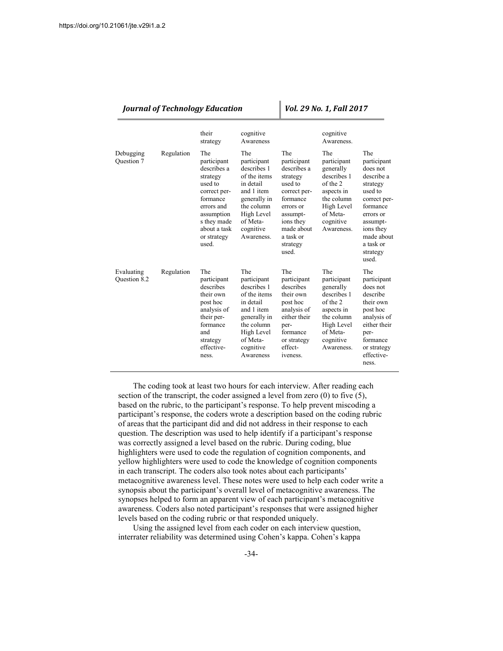| <b>Journal of Technology Education</b> |            |                                                                                                                                                                         | Vol. 29 No. 1, Fall 2017                                                                                                                                        |                                                                                                                                                                            |                                                                                                                                             |                                                                                                                                                                                       |
|----------------------------------------|------------|-------------------------------------------------------------------------------------------------------------------------------------------------------------------------|-----------------------------------------------------------------------------------------------------------------------------------------------------------------|----------------------------------------------------------------------------------------------------------------------------------------------------------------------------|---------------------------------------------------------------------------------------------------------------------------------------------|---------------------------------------------------------------------------------------------------------------------------------------------------------------------------------------|
|                                        |            | their<br>strategy                                                                                                                                                       | cognitive<br>Awareness                                                                                                                                          |                                                                                                                                                                            | cognitive<br>Awareness.                                                                                                                     |                                                                                                                                                                                       |
| Debugging<br>Question 7                | Regulation | The<br>participant<br>describes a<br>strategy<br>used to<br>correct per-<br>formance<br>errors and<br>assumption<br>s they made<br>about a task<br>or strategy<br>used. | The<br>participant<br>describes 1<br>of the items<br>in detail<br>and 1 item<br>generally in<br>the column<br>High Level<br>of Meta-<br>cognitive<br>Awareness. | The<br>participant<br>describes a<br>strategy<br>used to<br>correct per-<br>formance<br>errors or<br>assumpt-<br>ions they<br>made about<br>a task or<br>strategy<br>used. | The<br>participant<br>generally<br>describes 1<br>of the 2<br>aspects in<br>the column<br>High Level<br>of Meta-<br>cognitive<br>Awareness. | The<br>participant<br>does not<br>describe a<br>strategy<br>used to<br>correct per-<br>formance<br>errors or<br>assumpt-<br>ions they<br>made about<br>a task or<br>strategy<br>used. |
| Evaluating<br>Question 8.2             | Regulation | The<br>participant<br>describes<br>their own<br>post hoc<br>analysis of<br>their per-<br>formance<br>and<br>strategy<br>effective-<br>ness.                             | The<br>participant<br>describes 1<br>of the items<br>in detail<br>and 1 item<br>generally in<br>the column<br>High Level<br>of Meta-<br>cognitive<br>Awareness  | The<br>participant<br>describes<br>their own<br>post hoc<br>analysis of<br>either their<br>per-<br>formance<br>or strategy<br>effect-<br>iveness.                          | The<br>participant<br>generally<br>describes 1<br>of the 2<br>aspects in<br>the column<br>High Level<br>of Meta-<br>cognitive<br>Awareness. | The<br>participant<br>does not<br>describe<br>their own<br>post hoc<br>analysis of<br>either their<br>per-<br>formance<br>or strategy<br>effective-<br>ness.                          |

The coding took at least two hours for each interview. After reading each section of the transcript, the coder assigned a level from zero (0) to five (5), based on the rubric, to the participant's response. To help prevent miscoding a participant's response, the coders wrote a description based on the coding rubric of areas that the participant did and did not address in their response to each question. The description was used to help identify if a participant's response was correctly assigned a level based on the rubric. During coding, blue highlighters were used to code the regulation of cognition components, and yellow highlighters were used to code the knowledge of cognition components in each transcript. The coders also took notes about each participants' metacognitive awareness level. These notes were used to help each coder write a synopsis about the participant's overall level of metacognitive awareness. The synopses helped to form an apparent view of each participant's metacognitive awareness. Coders also noted participant's responses that were assigned higher levels based on the coding rubric or that responded uniquely.

Using the assigned level from each coder on each interview question, interrater reliability was determined using Cohen's kappa. Cohen's kappa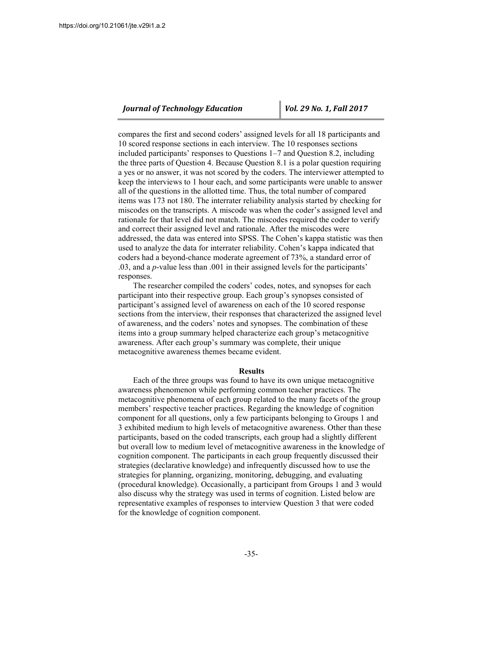compares the first and second coders' assigned levels for all 18 participants and 10 scored response sections in each interview. The 10 responses sections included participants' responses to Questions 1–7 and Question 8.2, including the three parts of Question 4. Because Question 8.1 is a polar question requiring a yes or no answer, it was not scored by the coders. The interviewer attempted to keep the interviews to 1 hour each, and some participants were unable to answer all of the questions in the allotted time. Thus, the total number of compared items was 173 not 180. The interrater reliability analysis started by checking for miscodes on the transcripts. A miscode was when the coder's assigned level and rationale for that level did not match. The miscodes required the coder to verify and correct their assigned level and rationale. After the miscodes were addressed, the data was entered into SPSS. The Cohen's kappa statistic was then used to analyze the data for interrater reliability. Cohen's kappa indicated that coders had a beyond-chance moderate agreement of 73%, a standard error of .03, and a *p*-value less than .001 in their assigned levels for the participants' responses.

The researcher compiled the coders' codes, notes, and synopses for each participant into their respective group. Each group's synopses consisted of participant's assigned level of awareness on each of the 10 scored response sections from the interview, their responses that characterized the assigned level of awareness, and the coders' notes and synopses. The combination of these items into a group summary helped characterize each group's metacognitive awareness. After each group's summary was complete, their unique metacognitive awareness themes became evident.

#### **Results**

Each of the three groups was found to have its own unique metacognitive awareness phenomenon while performing common teacher practices. The metacognitive phenomena of each group related to the many facets of the group members' respective teacher practices. Regarding the knowledge of cognition component for all questions, only a few participants belonging to Groups 1 and 3 exhibited medium to high levels of metacognitive awareness. Other than these participants, based on the coded transcripts, each group had a slightly different but overall low to medium level of metacognitive awareness in the knowledge of cognition component. The participants in each group frequently discussed their strategies (declarative knowledge) and infrequently discussed how to use the strategies for planning, organizing, monitoring, debugging, and evaluating (procedural knowledge). Occasionally, a participant from Groups 1 and 3 would also discuss why the strategy was used in terms of cognition. Listed below are representative examples of responses to interview Question 3 that were coded for the knowledge of cognition component.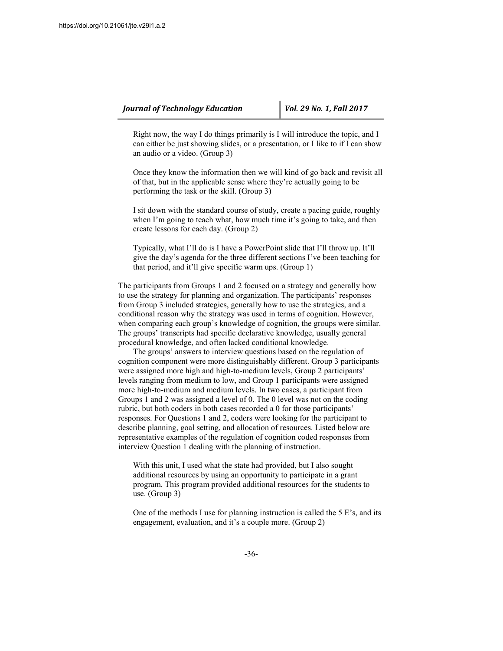Right now, the way I do things primarily is I will introduce the topic, and I can either be just showing slides, or a presentation, or I like to if I can show an audio or a video. (Group 3)

Once they know the information then we will kind of go back and revisit all of that, but in the applicable sense where they're actually going to be performing the task or the skill. (Group 3)

I sit down with the standard course of study, create a pacing guide, roughly when I'm going to teach what, how much time it's going to take, and then create lessons for each day. (Group 2)

Typically, what I'll do is I have a PowerPoint slide that I'll throw up. It'll give the day's agenda for the three different sections I've been teaching for that period, and it'll give specific warm ups. (Group 1)

The participants from Groups 1 and 2 focused on a strategy and generally how to use the strategy for planning and organization. The participants' responses from Group 3 included strategies, generally how to use the strategies, and a conditional reason why the strategy was used in terms of cognition. However, when comparing each group's knowledge of cognition, the groups were similar. The groups' transcripts had specific declarative knowledge, usually general procedural knowledge, and often lacked conditional knowledge.

The groups' answers to interview questions based on the regulation of cognition component were more distinguishably different. Group 3 participants were assigned more high and high-to-medium levels, Group 2 participants' levels ranging from medium to low, and Group 1 participants were assigned more high-to-medium and medium levels. In two cases, a participant from Groups 1 and 2 was assigned a level of 0. The 0 level was not on the coding rubric, but both coders in both cases recorded a 0 for those participants' responses. For Questions 1 and 2, coders were looking for the participant to describe planning, goal setting, and allocation of resources. Listed below are representative examples of the regulation of cognition coded responses from interview Question 1 dealing with the planning of instruction.

With this unit, I used what the state had provided, but I also sought additional resources by using an opportunity to participate in a grant program. This program provided additional resources for the students to use. (Group 3)

One of the methods I use for planning instruction is called the 5 E's, and its engagement, evaluation, and it's a couple more. (Group 2)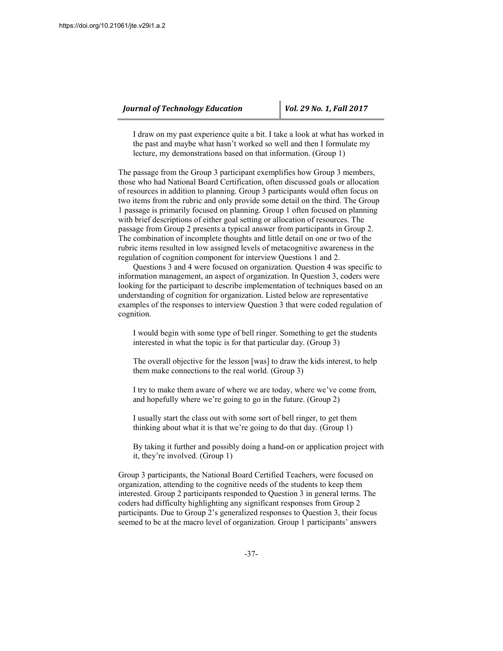I draw on my past experience quite a bit. I take a look at what has worked in the past and maybe what hasn't worked so well and then I formulate my lecture, my demonstrations based on that information. (Group 1)

The passage from the Group 3 participant exemplifies how Group 3 members, those who had National Board Certification, often discussed goals or allocation of resources in addition to planning. Group 3 participants would often focus on two items from the rubric and only provide some detail on the third. The Group 1 passage is primarily focused on planning. Group 1 often focused on planning with brief descriptions of either goal setting or allocation of resources. The passage from Group 2 presents a typical answer from participants in Group 2. The combination of incomplete thoughts and little detail on one or two of the rubric items resulted in low assigned levels of metacognitive awareness in the regulation of cognition component for interview Questions 1 and 2.

Questions 3 and 4 were focused on organization. Question 4 was specific to information management, an aspect of organization. In Question 3, coders were looking for the participant to describe implementation of techniques based on an understanding of cognition for organization. Listed below are representative examples of the responses to interview Question 3 that were coded regulation of cognition.

I would begin with some type of bell ringer. Something to get the students interested in what the topic is for that particular day. (Group 3)

The overall objective for the lesson [was] to draw the kids interest, to help them make connections to the real world. (Group 3)

I try to make them aware of where we are today, where we've come from, and hopefully where we're going to go in the future. (Group 2)

I usually start the class out with some sort of bell ringer, to get them thinking about what it is that we're going to do that day. (Group 1)

By taking it further and possibly doing a hand-on or application project with it, they're involved. (Group 1)

Group 3 participants, the National Board Certified Teachers, were focused on organization, attending to the cognitive needs of the students to keep them interested. Group 2 participants responded to Question 3 in general terms. The coders had difficulty highlighting any significant responses from Group 2 participants. Due to Group 2's generalized responses to Question 3, their focus seemed to be at the macro level of organization. Group 1 participants' answers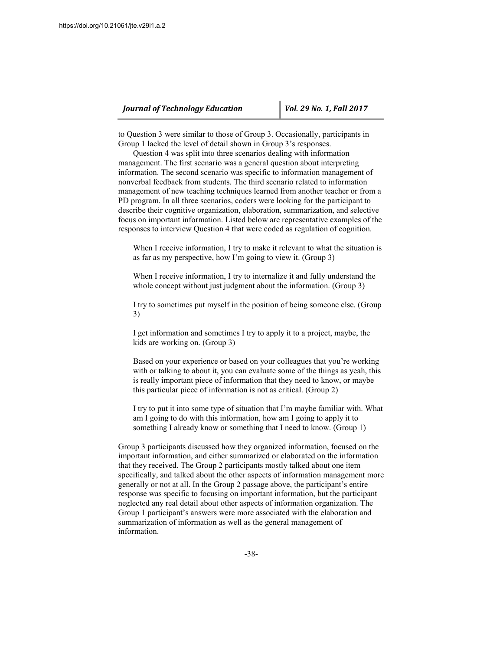to Question 3 were similar to those of Group 3. Occasionally, participants in Group 1 lacked the level of detail shown in Group 3's responses.

Question 4 was split into three scenarios dealing with information management. The first scenario was a general question about interpreting information. The second scenario was specific to information management of nonverbal feedback from students. The third scenario related to information management of new teaching techniques learned from another teacher or from a PD program. In all three scenarios, coders were looking for the participant to describe their cognitive organization, elaboration, summarization, and selective focus on important information. Listed below are representative examples of the responses to interview Question 4 that were coded as regulation of cognition.

When I receive information, I try to make it relevant to what the situation is as far as my perspective, how I'm going to view it. (Group 3)

When I receive information, I try to internalize it and fully understand the whole concept without just judgment about the information. (Group 3)

I try to sometimes put myself in the position of being someone else. (Group 3)

I get information and sometimes I try to apply it to a project, maybe, the kids are working on. (Group 3)

Based on your experience or based on your colleagues that you're working with or talking to about it, you can evaluate some of the things as yeah, this is really important piece of information that they need to know, or maybe this particular piece of information is not as critical. (Group 2)

I try to put it into some type of situation that I'm maybe familiar with. What am I going to do with this information, how am I going to apply it to something I already know or something that I need to know. (Group 1)

Group 3 participants discussed how they organized information, focused on the important information, and either summarized or elaborated on the information that they received. The Group 2 participants mostly talked about one item specifically, and talked about the other aspects of information management more generally or not at all. In the Group 2 passage above, the participant's entire response was specific to focusing on important information, but the participant neglected any real detail about other aspects of information organization. The Group 1 participant's answers were more associated with the elaboration and summarization of information as well as the general management of information.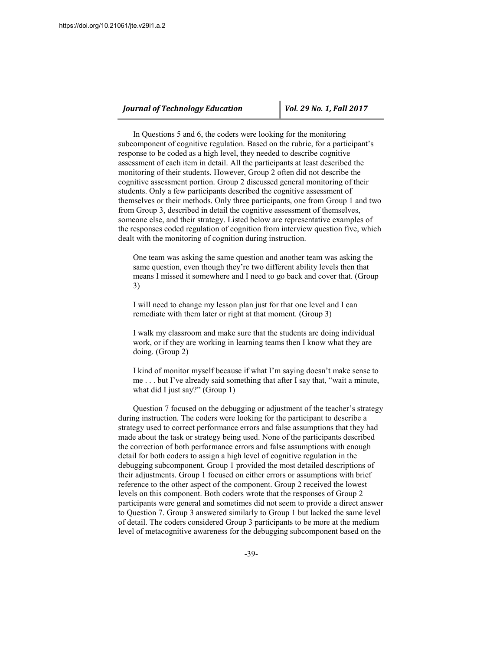In Questions 5 and 6, the coders were looking for the monitoring subcomponent of cognitive regulation. Based on the rubric, for a participant's response to be coded as a high level, they needed to describe cognitive assessment of each item in detail. All the participants at least described the monitoring of their students. However, Group 2 often did not describe the cognitive assessment portion. Group 2 discussed general monitoring of their students. Only a few participants described the cognitive assessment of themselves or their methods. Only three participants, one from Group 1 and two from Group 3, described in detail the cognitive assessment of themselves, someone else, and their strategy. Listed below are representative examples of the responses coded regulation of cognition from interview question five, which dealt with the monitoring of cognition during instruction.

One team was asking the same question and another team was asking the same question, even though they're two different ability levels then that means I missed it somewhere and I need to go back and cover that. (Group 3)

I will need to change my lesson plan just for that one level and I can remediate with them later or right at that moment. (Group 3)

I walk my classroom and make sure that the students are doing individual work, or if they are working in learning teams then I know what they are doing. (Group 2)

I kind of monitor myself because if what I'm saying doesn't make sense to me . . . but I've already said something that after I say that, "wait a minute, what did I just say?" (Group 1)

Question 7 focused on the debugging or adjustment of the teacher's strategy during instruction. The coders were looking for the participant to describe a strategy used to correct performance errors and false assumptions that they had made about the task or strategy being used. None of the participants described the correction of both performance errors and false assumptions with enough detail for both coders to assign a high level of cognitive regulation in the debugging subcomponent. Group 1 provided the most detailed descriptions of their adjustments. Group 1 focused on either errors or assumptions with brief reference to the other aspect of the component. Group 2 received the lowest levels on this component. Both coders wrote that the responses of Group 2 participants were general and sometimes did not seem to provide a direct answer to Question 7. Group 3 answered similarly to Group 1 but lacked the same level of detail. The coders considered Group 3 participants to be more at the medium level of metacognitive awareness for the debugging subcomponent based on the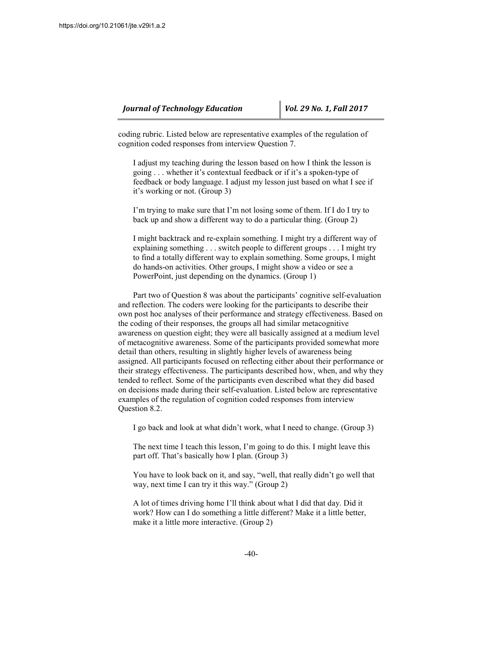coding rubric. Listed below are representative examples of the regulation of cognition coded responses from interview Question 7.

I adjust my teaching during the lesson based on how I think the lesson is going . . . whether it's contextual feedback or if it's a spoken-type of feedback or body language. I adjust my lesson just based on what I see if it's working or not. (Group 3)

I'm trying to make sure that I'm not losing some of them. If I do I try to back up and show a different way to do a particular thing. (Group 2)

I might backtrack and re-explain something. I might try a different way of explaining something . . . switch people to different groups . . . I might try to find a totally different way to explain something. Some groups, I might do hands-on activities. Other groups, I might show a video or see a PowerPoint, just depending on the dynamics. (Group 1)

Part two of Question 8 was about the participants' cognitive self-evaluation and reflection. The coders were looking for the participants to describe their own post hoc analyses of their performance and strategy effectiveness. Based on the coding of their responses, the groups all had similar metacognitive awareness on question eight; they were all basically assigned at a medium level of metacognitive awareness. Some of the participants provided somewhat more detail than others, resulting in slightly higher levels of awareness being assigned. All participants focused on reflecting either about their performance or their strategy effectiveness. The participants described how, when, and why they tended to reflect. Some of the participants even described what they did based on decisions made during their self-evaluation. Listed below are representative examples of the regulation of cognition coded responses from interview Question 8.2.

I go back and look at what didn't work, what I need to change. (Group 3)

The next time I teach this lesson, I'm going to do this. I might leave this part off. That's basically how I plan. (Group 3)

You have to look back on it, and say, "well, that really didn't go well that way, next time I can try it this way." (Group 2)

A lot of times driving home I'll think about what I did that day. Did it work? How can I do something a little different? Make it a little better, make it a little more interactive. (Group 2)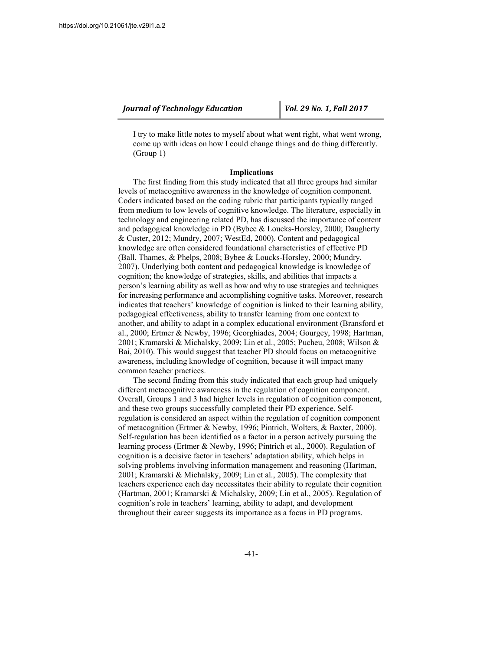I try to make little notes to myself about what went right, what went wrong, come up with ideas on how I could change things and do thing differently. (Group 1)

#### **Implications**

The first finding from this study indicated that all three groups had similar levels of metacognitive awareness in the knowledge of cognition component. Coders indicated based on the coding rubric that participants typically ranged from medium to low levels of cognitive knowledge. The literature, especially in technology and engineering related PD, has discussed the importance of content and pedagogical knowledge in PD (Bybee & Loucks-Horsley, 2000; Daugherty & Custer, 2012; Mundry, 2007; WestEd, 2000). Content and pedagogical knowledge are often considered foundational characteristics of effective PD (Ball, Thames, & Phelps, 2008; Bybee & Loucks-Horsley, 2000; Mundry, 2007). Underlying both content and pedagogical knowledge is knowledge of cognition; the knowledge of strategies, skills, and abilities that impacts a person's learning ability as well as how and why to use strategies and techniques for increasing performance and accomplishing cognitive tasks. Moreover, research indicates that teachers' knowledge of cognition is linked to their learning ability, pedagogical effectiveness, ability to transfer learning from one context to another, and ability to adapt in a complex educational environment (Bransford et al., 2000; Ertmer & Newby, 1996; Georghiades, 2004; Gourgey, 1998; Hartman, 2001; Kramarski & Michalsky, 2009; Lin et al., 2005; Pucheu, 2008; Wilson & Bai, 2010). This would suggest that teacher PD should focus on metacognitive awareness, including knowledge of cognition, because it will impact many common teacher practices.

The second finding from this study indicated that each group had uniquely different metacognitive awareness in the regulation of cognition component. Overall, Groups 1 and 3 had higher levels in regulation of cognition component, and these two groups successfully completed their PD experience. Selfregulation is considered an aspect within the regulation of cognition component of metacognition (Ertmer & Newby, 1996; Pintrich, Wolters, & Baxter, 2000). Self-regulation has been identified as a factor in a person actively pursuing the learning process (Ertmer & Newby, 1996; Pintrich et al., 2000). Regulation of cognition is a decisive factor in teachers' adaptation ability, which helps in solving problems involving information management and reasoning (Hartman, 2001; Kramarski & Michalsky, 2009; Lin et al., 2005). The complexity that teachers experience each day necessitates their ability to regulate their cognition (Hartman, 2001; Kramarski & Michalsky, 2009; Lin et al., 2005). Regulation of cognition's role in teachers' learning, ability to adapt, and development throughout their career suggests its importance as a focus in PD programs.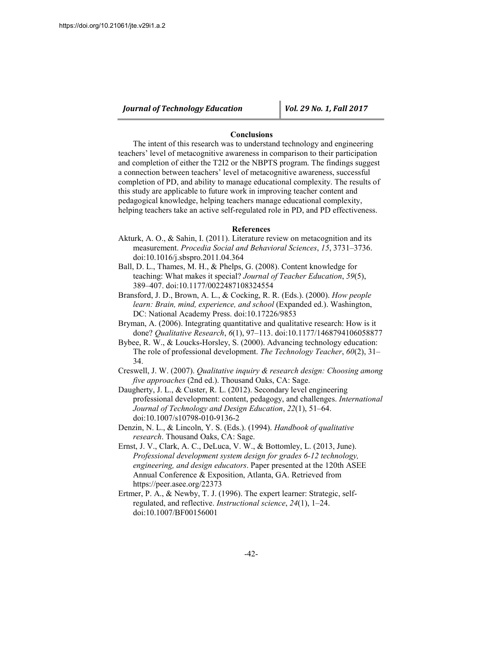#### **Conclusions**

The intent of this research was to understand technology and engineering teachers' level of metacognitive awareness in comparison to their participation and completion of either the T2I2 or the NBPTS program. The findings suggest a connection between teachers' level of metacognitive awareness, successful completion of PD, and ability to manage educational complexity. The results of this study are applicable to future work in improving teacher content and pedagogical knowledge, helping teachers manage educational complexity, helping teachers take an active self-regulated role in PD, and PD effectiveness.

#### **References**

- Akturk, A. O., & Sahin, I. (2011). Literature review on metacognition and its measurement. *Procedia Social and Behavioral Sciences*, *15*, 3731–3736. doi:10.1016/j.sbspro.2011.04.364
- Ball, D. L., Thames, M. H., & Phelps, G. (2008). Content knowledge for teaching: What makes it special? *Journal of Teacher Education*, *59*(5), 389–407. doi:10.1177/0022487108324554
- Bransford, J. D., Brown, A. L., & Cocking, R. R. (Eds.). (2000). *How people learn: Brain, mind, experience, and school* (Expanded ed.). Washington, DC: National Academy Press. doi:10.17226/9853
- Bryman, A. (2006). Integrating quantitative and qualitative research: How is it done? *Qualitative Research*, *6*(1), 97–113. doi:10.1177/1468794106058877
- Bybee, R. W., & Loucks-Horsley, S. (2000). Advancing technology education: The role of professional development. *The Technology Teacher*, *60*(2), 31– 34.
- Creswell, J. W. (2007). *Qualitative inquiry & research design: Choosing among five approaches* (2nd ed.). Thousand Oaks, CA: Sage.
- Daugherty, J. L., & Custer, R. L. (2012). Secondary level engineering professional development: content, pedagogy, and challenges. *International Journal of Technology and Design Education*, *22*(1), 51–64. doi:10.1007/s10798-010-9136-2
- Denzin, N. L., & Lincoln, Y. S. (Eds.). (1994). *Handbook of qualitative research*. Thousand Oaks, CA: Sage.
- Ernst, J. V., Clark, A. C., DeLuca, V. W., & Bottomley, L. (2013, June). *Professional development system design for grades 6-12 technology, engineering, and design educators*. Paper presented at the 120th ASEE Annual Conference & Exposition, Atlanta, GA. Retrieved from https://peer.asee.org/22373
- Ertmer, P. A., & Newby, T. J. (1996). The expert learner: Strategic, selfregulated, and reflective. *Instructional science*, *24*(1), 1–24. doi:10.1007/BF00156001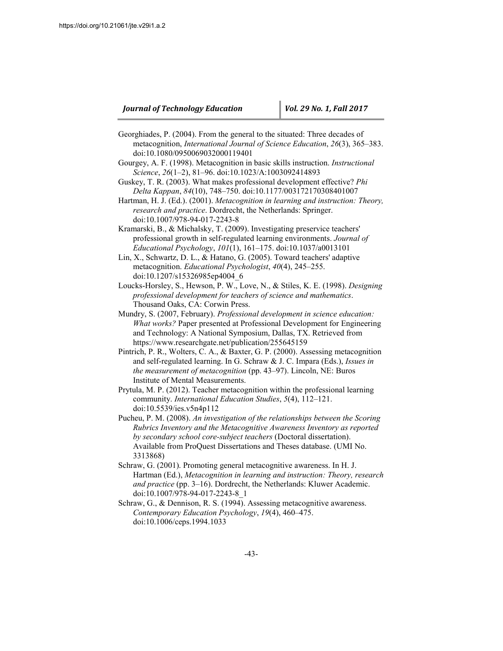- Georghiades, P. (2004). From the general to the situated: Three decades of metacognition, *International Journal of Science Education*, *26*(3), 365–383. doi:10.1080/0950069032000119401
- Gourgey, A. F. (1998). Metacognition in basic skills instruction. *Instructional Science*, *26*(1–2), 81–96. doi:10.1023/A:1003092414893
- Guskey, T. R. (2003). What makes professional development effective? *Phi Delta Kappan*, *84*(10), 748–750. doi:10.1177/003172170308401007
- Hartman, H. J. (Ed.). (2001). *Metacognition in learning and instruction: Theory, research and practice*. Dordrecht, the Netherlands: Springer. doi:10.1007/978-94-017-2243-8
- Kramarski, B., & Michalsky, T. (2009). Investigating preservice teachers' professional growth in self-regulated learning environments. *Journal of Educational Psychology*, *101*(1), 161–175. doi:10.1037/a0013101
- Lin, X., Schwartz, D. L., & Hatano, G. (2005). Toward teachers' adaptive metacognition. *Educational Psychologist*, *40*(4), 245–255. doi:10.1207/s15326985ep4004\_6
- Loucks-Horsley, S., Hewson, P. W., Love, N., & Stiles, K. E. (1998). *Designing professional development for teachers of science and mathematics*. Thousand Oaks, CA: Corwin Press.
- Mundry, S. (2007, February). *Professional development in science education: What works?* Paper presented at Professional Development for Engineering and Technology: A National Symposium, Dallas, TX. Retrieved from https://www.researchgate.net/publication/255645159
- Pintrich, P. R., Wolters, C. A., & Baxter, G. P. (2000). Assessing metacognition and self-regulated learning. In G. Schraw & J. C. Impara (Eds.), *Issues in the measurement of metacognition* (pp. 43–97). Lincoln, NE: Buros Institute of Mental Measurements.
- Prytula, M. P. (2012). Teacher metacognition within the professional learning community. *International Education Studies*, *5*(4), 112–121. doi:10.5539/ies.v5n4p112
- Pucheu, P. M. (2008). *An investigation of the relationships between the Scoring Rubrics Inventory and the Metacognitive Awareness Inventory as reported by secondary school core-subject teachers* (Doctoral dissertation). Available from ProQuest Dissertations and Theses database. (UMI No. 3313868)
- Schraw, G. (2001). Promoting general metacognitive awareness. In H. J. Hartman (Ed.), *Metacognition in learning and instruction: Theory, research and practice* (pp. 3–16). Dordrecht, the Netherlands: Kluwer Academic. doi:10.1007/978-94-017-2243-8\_1
- Schraw, G., & Dennison, R. S. (1994). Assessing metacognitive awareness. *Contemporary Education Psychology*, *19*(4), 460–475. doi:10.1006/ceps.1994.1033